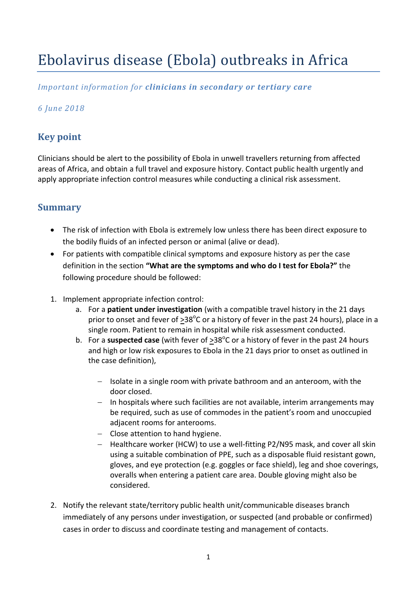# Ebolavirus disease (Ebola) outbreaks in Africa

### *Important information for clinicians in secondary or tertiary care*

### *6 June 2018*

# **Key point**

Clinicians should be alert to the possibility of Ebola in unwell travellers returning from affected areas of Africa, and obtain a full travel and exposure history. Contact public health urgently and apply appropriate infection control measures while conducting a clinical risk assessment.

# **Summary**

- The risk of infection with Ebola is extremely low unless there has been direct exposure to the bodily fluids of an infected person or animal (alive or dead).
- For patients with compatible clinical symptoms and exposure history as per the case definition in the section **"What are the symptoms and who do I test for Ebola?"** the following procedure should be followed:
- 1. Implement appropriate infection control:
	- a. For a **patient under investigation** (with a compatible travel history in the 21 days prior to onset and fever of  $\geq$ 38<sup>o</sup>C or a history of fever in the past 24 hours), place in a single room. Patient to remain in hospital while risk assessment conducted.
	- b. For a **suspected case** (with fever of  $\geq$ 38<sup>o</sup>C or a history of fever in the past 24 hours and high or low risk exposures to Ebola in the 21 days prior to onset as outlined in the case definition),
		- $-$  Isolate in a single room with private bathroom and an anteroom, with the door closed.
		- $-$  In hospitals where such facilities are not available, interim arrangements may be required, such as use of commodes in the patient's room and unoccupied adjacent rooms for anterooms.
		- Close attention to hand hygiene.
		- Healthcare worker (HCW) to use a well-fitting P2/N95 mask, and cover all skin using a suitable combination of PPE, such as a disposable fluid resistant gown, gloves, and eye protection (e.g. goggles or face shield), leg and shoe coverings, overalls when entering a patient care area. Double gloving might also be considered.
- 2. Notify the relevant state/territory public health unit/communicable diseases branch immediately of any persons under investigation, or suspected (and probable or confirmed) cases in order to discuss and coordinate testing and management of contacts.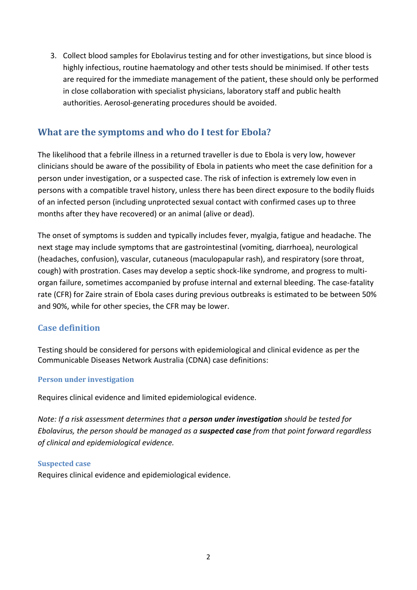3. Collect blood samples for Ebolavirus testing and for other investigations, but since blood is highly infectious, routine haematology and other tests should be minimised. If other tests are required for the immediate management of the patient, these should only be performed in close collaboration with specialist physicians, laboratory staff and public health authorities. Aerosol-generating procedures should be avoided.

# **What are the symptoms and who do I test for Ebola?**

The likelihood that a febrile illness in a returned traveller is due to Ebola is very low, however clinicians should be aware of the possibility of Ebola in patients who meet the case definition for a person under investigation, or a suspected case. The risk of infection is extremely low even in persons with a compatible travel history, unless there has been direct exposure to the bodily fluids of an infected person (including unprotected sexual contact with confirmed cases up to three months after they have recovered) or an animal (alive or dead).

The onset of symptoms is sudden and typically includes fever, myalgia, fatigue and headache. The next stage may include symptoms that are gastrointestinal (vomiting, diarrhoea), neurological (headaches, confusion), vascular, cutaneous (maculopapular rash), and respiratory (sore throat, cough) with prostration. Cases may develop a septic shock-like syndrome, and progress to multiorgan failure, sometimes accompanied by profuse internal and external bleeding. The case-fatality rate (CFR) for Zaire strain of Ebola cases during previous outbreaks is estimated to be between 50% and 90%, while for other species, the CFR may be lower.

#### **Case definition**

Testing should be considered for persons with epidemiological and clinical evidence as per the Communicable Diseases Network Australia (CDNA) case definitions:

#### **Person under investigation**

Requires clinical evidence and limited epidemiological evidence.

*Note: If a risk assessment determines that a person under investigation should be tested for Ebolavirus, the person should be managed as a suspected case from that point forward regardless of clinical and epidemiological evidence.* 

#### **Suspected case**

Requires clinical evidence and epidemiological evidence.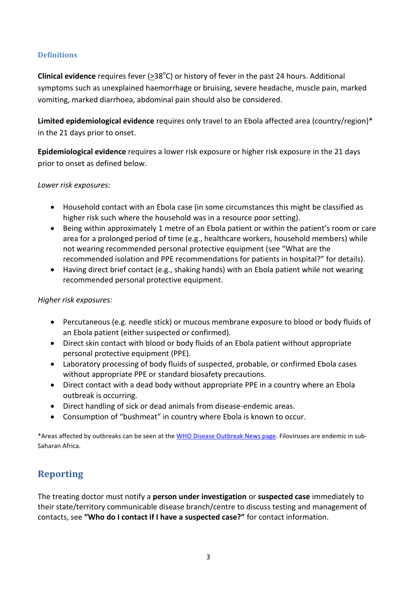#### **Definitions**

Clinical evidence requires fever (> 38<sup>°</sup>C) or history of fever in the past 24 hours. Additional symptoms such as unexplained haemorrhage or bruising, severe headache, muscle pain, marked vomiting, marked diarrhoea, abdominal pain should also be considered.

**Limited epidemiological evidence** requires only travel to an Ebola affected area (country/region)\* in the 21 days prior to onset.

**Epidemiological evidence** requires a lower risk exposure or higher risk exposure in the 21 days prior to onset as defined below.

#### *Lower risk exposures:*

- Household contact with an Ebola case (in some circumstances this might be classified as higher risk such where the household was in a resource poor setting).
- Being within approximately 1 metre of an Ebola patient or within the patient's room or care area for a prolonged period of time (e.g., healthcare workers, household members) while not wearing recommended personal protective equipment (see "What are the recommended isolation and PPE recommendations for patients in hospital?" for details).
- Having direct brief contact (e.g., shaking hands) with an Ebola patient while not wearing recommended personal protective equipment.

#### *Higher risk exposures:*

- Percutaneous (e.g. needle stick) or mucous membrane exposure to blood or body fluids of an Ebola patient (either suspected or confirmed).
- Direct skin contact with blood or body fluids of an Ebola patient without appropriate personal protective equipment (PPE).
- Laboratory processing of body fluids of suspected, probable, or confirmed Ebola cases without appropriate PPE or standard biosafety precautions.
- Direct contact with a dead body without appropriate PPE in a country where an Ebola outbreak is occurring.
- Direct handling of sick or dead animals from disease-endemic areas.
- Consumption of "bushmeat" in country where Ebola is known to occur.

\*Areas affected by outbreaks can be seen at the [WHO Disease Outbreak News page.](http://www.who.int/csr/don/en/) Filoviruses are endemic in sub-Saharan Africa.

# **Reporting**

The treating doctor must notify a **person under investigation** or **suspected case** immediately to their state/territory communicable disease branch/centre to discuss testing and management of contacts, see **"Who do I contact if I have a suspected case?"** for contact information.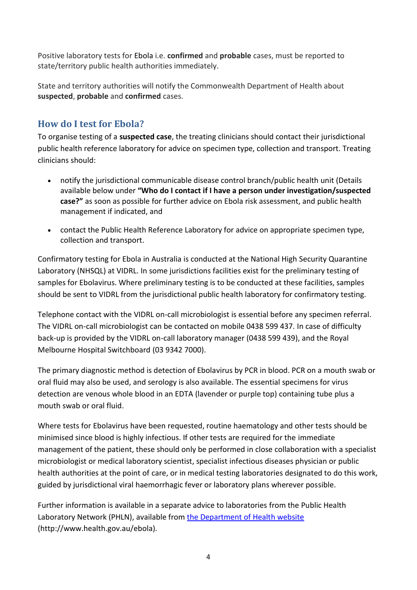Positive laboratory tests for Ebola i.e. **confirmed** and **probable** cases, must be reported to state/territory public health authorities immediately.

State and territory authorities will notify the Commonwealth Department of Health about **suspected**, **probable** and **confirmed** cases.

# **How do I test for Ebola?**

To organise testing of a **suspected case**, the treating clinicians should contact their jurisdictional public health reference laboratory for advice on specimen type, collection and transport. Treating clinicians should:

- notify the jurisdictional communicable disease control branch/public health unit (Details available below under **"Who do I contact if I have a person under investigation/suspected case?"** as soon as possible for further advice on Ebola risk assessment, and public health management if indicated, and
- contact the Public Health Reference Laboratory for advice on appropriate specimen type, collection and transport.

Confirmatory testing for Ebola in Australia is conducted at the National High Security Quarantine Laboratory (NHSQL) at VIDRL. In some jurisdictions facilities exist for the preliminary testing of samples for Ebolavirus. Where preliminary testing is to be conducted at these facilities, samples should be sent to VIDRL from the jurisdictional public health laboratory for confirmatory testing.

Telephone contact with the VIDRL on-call microbiologist is essential before any specimen referral. The VIDRL on-call microbiologist can be contacted on mobile 0438 599 437. In case of difficulty back-up is provided by the VIDRL on-call laboratory manager (0438 599 439), and the Royal Melbourne Hospital Switchboard (03 9342 7000).

The primary diagnostic method is detection of Ebolavirus by PCR in blood. PCR on a mouth swab or oral fluid may also be used, and serology is also available. The essential specimens for virus detection are venous whole blood in an EDTA (lavender or purple top) containing tube plus a mouth swab or oral fluid.

Where tests for Ebolavirus have been requested, routine haematology and other tests should be minimised since blood is highly infectious. If other tests are required for the immediate management of the patient, these should only be performed in close collaboration with a specialist microbiologist or medical laboratory scientist, specialist infectious diseases physician or public health authorities at the point of care, or in medical testing laboratories designated to do this work, guided by jurisdictional viral haemorrhagic fever or laboratory plans wherever possible.

Further information is available in a separate advice to laboratories from the Public Health Laboratory Network (PHLN), available from [the Department of Health website](http://www.health.gov.au/internet/main/publishing.nsf/Content/ohp-evd.htm) (http://www.health.gov.au/ebola).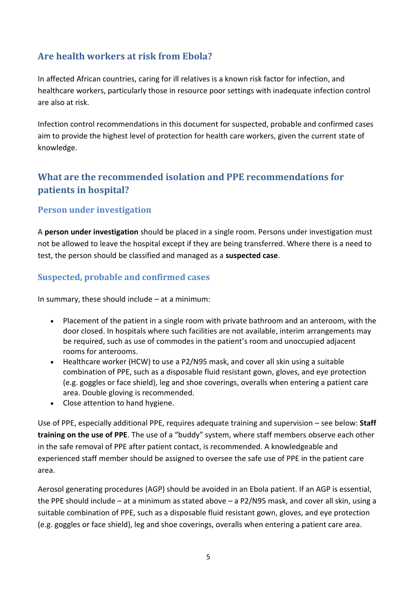# **Are health workers at risk from Ebola?**

In affected African countries, caring for ill relatives is a known risk factor for infection, and healthcare workers, particularly those in resource poor settings with inadequate infection control are also at risk.

Infection control recommendations in this document for suspected, probable and confirmed cases aim to provide the highest level of protection for health care workers, given the current state of knowledge.

# **What are the recommended isolation and PPE recommendations for patients in hospital?**

### **Person under investigation**

A **person under investigation** should be placed in a single room. Persons under investigation must not be allowed to leave the hospital except if they are being transferred. Where there is a need to test, the person should be classified and managed as a **suspected case**.

### **Suspected, probable and confirmed cases**

In summary, these should include – at a minimum:

- Placement of the patient in a single room with private bathroom and an anteroom, with the door closed. In hospitals where such facilities are not available, interim arrangements may be required, such as use of commodes in the patient's room and unoccupied adjacent rooms for anterooms.
- Healthcare worker (HCW) to use a P2/N95 mask, and cover all skin using a suitable combination of PPE, such as a disposable fluid resistant gown, gloves, and eye protection (e.g. goggles or face shield), leg and shoe coverings, overalls when entering a patient care area. Double gloving is recommended.
- Close attention to hand hygiene.

Use of PPE, especially additional PPE, requires adequate training and supervision – see below: **Staff training on the use of PPE**. The use of a "buddy" system, where staff members observe each other in the safe removal of PPE after patient contact, is recommended. A knowledgeable and experienced staff member should be assigned to oversee the safe use of PPE in the patient care area.

Aerosol generating procedures (AGP) should be avoided in an Ebola patient. If an AGP is essential, the PPE should include – at a minimum as stated above – a P2/N95 mask, and cover all skin, using a suitable combination of PPE, such as a disposable fluid resistant gown, gloves, and eye protection (e.g. goggles or face shield), leg and shoe coverings, overalls when entering a patient care area.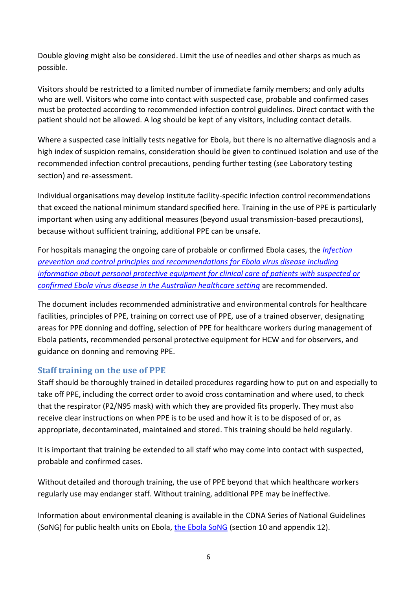Double gloving might also be considered. Limit the use of needles and other sharps as much as possible.

Visitors should be restricted to a limited number of immediate family members; and only adults who are well. Visitors who come into contact with suspected case, probable and confirmed cases must be protected according to recommended infection control guidelines. Direct contact with the patient should not be allowed. A log should be kept of any visitors, including contact details.

Where a suspected case initially tests negative for Ebola, but there is no alternative diagnosis and a high index of suspicion remains, consideration should be given to continued isolation and use of the recommended infection control precautions, pending further testing (see Laboratory testing section) and re-assessment.

Individual organisations may develop institute facility-specific infection control recommendations that exceed the national minimum standard specified here. Training in the use of PPE is particularly important when using any additional measures (beyond usual transmission-based precautions), because without sufficient training, additional PPE can be unsafe.

For hospitals managing the ongoing care of probable or confirmed Ebola cases, the *[Infection](http://health.gov.au/internet/main/publishing.nsf/Content/D9CE7F7977BFB6A8CA257D8D00834F53/$File/ebola-infections-prevention-final-Mar2015.pdf)  [prevention and control principles and recommendations for Ebola virus disease including](http://health.gov.au/internet/main/publishing.nsf/Content/D9CE7F7977BFB6A8CA257D8D00834F53/$File/ebola-infections-prevention-final-Mar2015.pdf) [information about personal protective equipment for clinical care of patients with suspected or](http://health.gov.au/internet/main/publishing.nsf/Content/D9CE7F7977BFB6A8CA257D8D00834F53/$File/ebola-infections-prevention-final-Mar2015.pdf)  [confirmed Ebola virus disease in the Australian healthcare setting](http://health.gov.au/internet/main/publishing.nsf/Content/D9CE7F7977BFB6A8CA257D8D00834F53/$File/ebola-infections-prevention-final-Mar2015.pdf)* are recommended.

The document includes recommended administrative and environmental controls for healthcare facilities, principles of PPE, training on correct use of PPE, use of a trained observer, designating areas for PPE donning and doffing, selection of PPE for healthcare workers during management of Ebola patients, recommended personal protective equipment for HCW and for observers, and guidance on donning and removing PPE.

#### **Staff training on the use of PPE**

Staff should be thoroughly trained in detailed procedures regarding how to put on and especially to take off PPE, including the correct order to avoid cross contamination and where used, to check that the respirator (P2/N95 mask) with which they are provided fits properly. They must also receive clear instructions on when PPE is to be used and how it is to be disposed of or, as appropriate, decontaminated, maintained and stored. This training should be held regularly.

It is important that training be extended to all staff who may come into contact with suspected, probable and confirmed cases.

Without detailed and thorough training, the use of PPE beyond that which healthcare workers regularly use may endanger staff. Without training, additional PPE may be ineffective.

Information about environmental cleaning is available in the CDNA Series of National Guidelines (SoNG) for public health units on Ebola, [the Ebola SoNG](http://www.health.gov.au/ebola) (section 10 and appendix 12).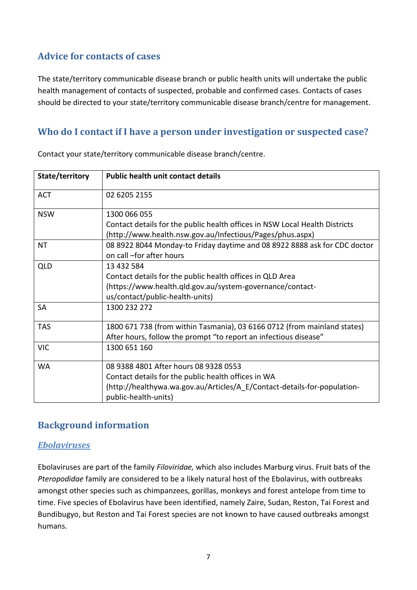# **Advice for contacts of cases**

The state/territory communicable disease branch or public health units will undertake the public health management of contacts of suspected, probable and confirmed cases. Contacts of cases should be directed to your state/territory communicable disease branch/centre for management.

# **Who do I contact if I have a person under investigation or suspected case?**

| State/territory | <b>Public health unit contact details</b>                                   |
|-----------------|-----------------------------------------------------------------------------|
| <b>ACT</b>      | 02 6205 2155                                                                |
| <b>NSW</b>      | 1300 066 055                                                                |
|                 | Contact details for the public health offices in NSW Local Health Districts |
|                 | (http://www.health.nsw.gov.au/Infectious/Pages/phus.aspx)                   |
| ΝT              | 08 8922 8044 Monday-to Friday daytime and 08 8922 8888 ask for CDC doctor   |
|                 | on call -for after hours                                                    |
| <b>QLD</b>      | 13 432 584                                                                  |
|                 | Contact details for the public health offices in QLD Area                   |
|                 | (https://www.health.qld.gov.au/system-governance/contact-                   |
|                 | us/contact/public-health-units)                                             |
| <b>SA</b>       | 1300 232 272                                                                |
| <b>TAS</b>      | 1800 671 738 (from within Tasmania), 03 6166 0712 (from mainland states)    |
|                 | After hours, follow the prompt "to report an infectious disease"            |
| <b>VIC</b>      | 1300 651 160                                                                |
| <b>WA</b>       | 08 9388 4801 After hours 08 9328 0553                                       |
|                 | Contact details for the public health offices in WA                         |
|                 | (http://healthywa.wa.gov.au/Articles/A E/Contact-details-for-population-    |
|                 | public-health-units)                                                        |

Contact your state/territory communicable disease branch/centre.

# **Background information**

#### *Ebolaviruses*

Ebolaviruses are part of the family *Filoviridae,* which also includes Marburg virus. Fruit bats of the *Pteropodidae* family are considered to be a likely natural host of the Ebolavirus, with outbreaks amongst other species such as chimpanzees, gorillas, monkeys and forest antelope from time to time. Five species of Ebolavirus have been identified, namely Zaire, Sudan, Reston, Tai Forest and Bundibugyo, but Reston and Tai Forest species are not known to have caused outbreaks amongst humans.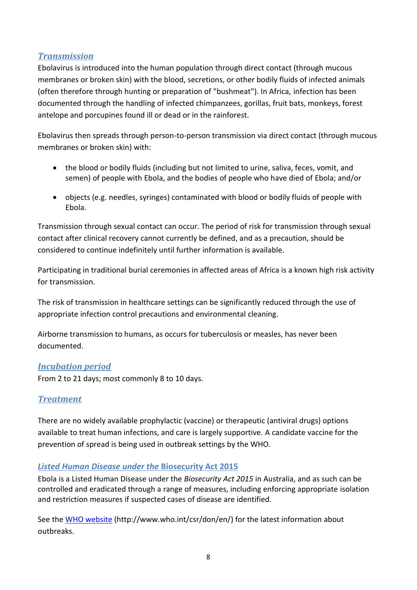### *Transmission*

Ebolavirus is introduced into the human population through direct contact (through mucous membranes or broken skin) with the blood, secretions, or other bodily fluids of infected animals (often therefore through hunting or preparation of "bushmeat"). In Africa, infection has been documented through the handling of infected chimpanzees, gorillas, fruit bats, monkeys, forest antelope and porcupines found ill or dead or in the rainforest.

Ebolavirus then spreads through person-to-person transmission via direct contact (through mucous membranes or broken skin) with:

- the blood or bodily fluids (including but not limited to urine, saliva, feces, vomit, and semen) of people with Ebola, and the bodies of people who have died of Ebola; and/or
- objects (e.g. needles, syringes) contaminated with blood or bodily fluids of people with Ebola.

Transmission through sexual contact can occur. The period of risk for transmission through sexual contact after clinical recovery cannot currently be defined, and as a precaution, should be considered to continue indefinitely until further information is available.

Participating in traditional burial ceremonies in affected areas of Africa is a known high risk activity for transmission.

The risk of transmission in healthcare settings can be significantly reduced through the use of appropriate infection control precautions and environmental cleaning.

Airborne transmission to humans, as occurs for tuberculosis or measles, has never been documented.

#### *Incubation period*

From 2 to 21 days; most commonly 8 to 10 days.

### *Treatment*

There are no widely available prophylactic (vaccine) or therapeutic (antiviral drugs) options available to treat human infections, and care is largely supportive. A candidate vaccine for the prevention of spread is being used in outbreak settings by the WHO.

#### *Listed Human Disease under the* **Biosecurity Act 2015**

Ebola is a Listed Human Disease under the *Biosecurity Act 2015* in Australia, and as such can be controlled and eradicated through a range of measures, including enforcing appropriate isolation and restriction measures if suspected cases of disease are identified.

See the [WHO website](http://www.who.int/csr/don/en/) (http://www.who.int/csr/don/en/) for the latest information about outbreaks.